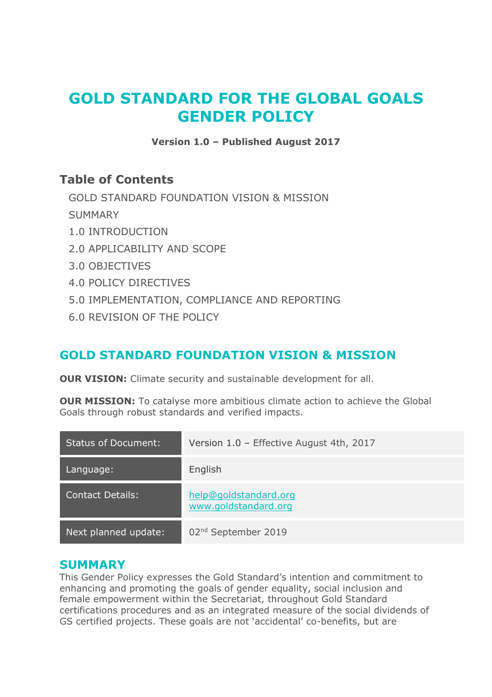# **GOLD STANDARD FOR THE GLOBAL GOALS GENDER POLICY**

**Version 1.0 – Published August 2017**

## **Table of Contents**

[GOLD STANDARD FOUNDATION VISION & MISSION](#page-0-0)

**[SUMMARY](#page-0-1)** 

- [1.0 INTRODUCTION](#page-1-0)
- [2.0 APPLICABILITY AND SCOPE](#page-2-0)
- [3.0 OBJECTIVES](#page-3-0)
- [4.0 POLICY DIRECTIVES](#page-4-0)
- [5.0 IMPLEMENTATION, COMPLIANCE AND REPORTING](#page-7-0)
- [6.0 REVISION OF THE POLICY](#page-8-0)

## <span id="page-0-0"></span>**GOLD STANDARD FOUNDATION VISION & MISSION**

**OUR VISION:** Climate security and sustainable development for all.

**OUR MISSION:** To catalyse more ambitious climate action to achieve the Global Goals through robust standards and verified impacts.

| <b>Status of Document:</b> | Version 1.0 - Effective August 4th, 2017      |
|----------------------------|-----------------------------------------------|
| Language:                  | English                                       |
| <b>Contact Details:</b>    | help@goldstandard.org<br>www.goldstandard.org |
| Next planned update:       | 02 <sup>nd</sup> September 2019               |

## <span id="page-0-1"></span>**SUMMARY**

This Gender Policy expresses the Gold Standard's intention and commitment to enhancing and promoting the goals of gender equality, social inclusion and female empowerment within the Secretariat, throughout Gold Standard certifications procedures and as an integrated measure of the social dividends of GS certified projects. These goals are not 'accidental' co-benefits, but are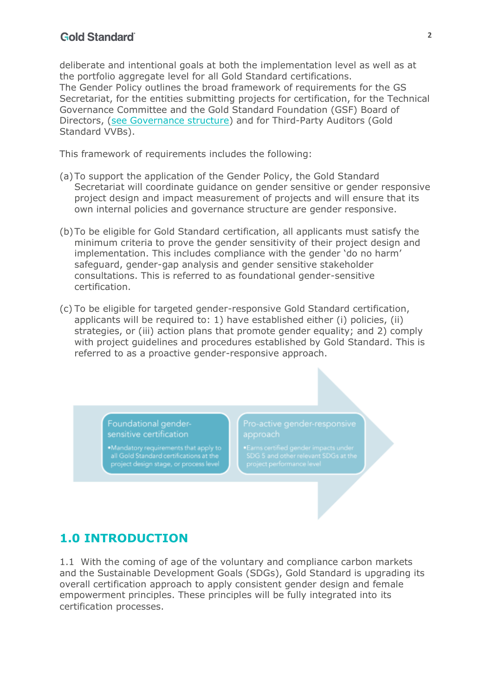#### **Gold Standard**

deliberate and intentional goals at both the implementation level as well as at the portfolio aggregate level for all Gold Standard certifications. The Gender Policy outlines the broad framework of requirements for the GS Secretariat, for the entities submitting projects for certification, for the Technical Governance Committee and the Gold Standard Foundation (GSF) Board of Directors, (see Governance structure) and for Third-Party Auditors (Gold Standard VVBs).

This framework of requirements includes the following:

- (a)To support the application of the Gender Policy, the Gold Standard Secretariat will coordinate guidance on gender sensitive or gender responsive project design and impact measurement of projects and will ensure that its own internal policies and governance structure are gender responsive.
- (b)To be eligible for Gold Standard certification, all applicants must satisfy the minimum criteria to prove the gender sensitivity of their project design and implementation. This includes compliance with the gender 'do no harm' safeguard, gender-gap analysis and gender sensitive stakeholder consultations. This is referred to as foundational gender-sensitive certification.
- (c) To be eligible for targeted gender-responsive Gold Standard certification, applicants will be required to: 1) have established either (i) policies, (ii) strategies, or (iii) action plans that promote gender equality; and 2) comply with project guidelines and procedures established by Gold Standard. This is referred to as a proactive gender-responsive approach.

Foundational gendersensitive certification

## <span id="page-1-0"></span>**1.0 INTRODUCTION**

1.1 With the coming of age of the voluntary and compliance carbon markets and the Sustainable Development Goals (SDGs), Gold Standard is upgrading its overall certification approach to apply consistent gender design and female empowerment principles. These principles will be fully integrated into its certification processes.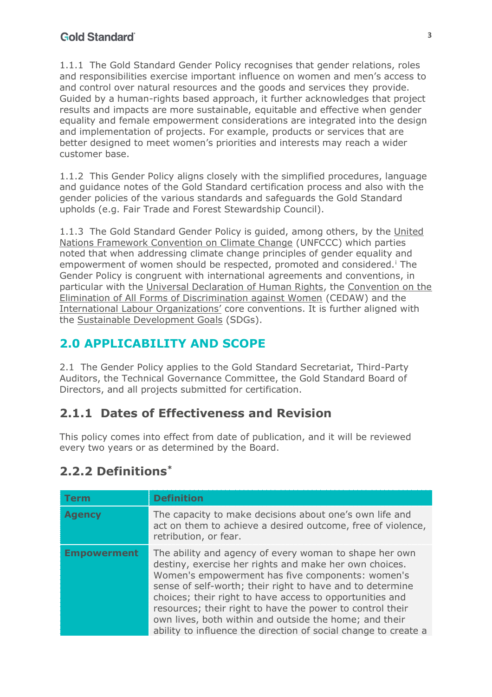1.1.1 The Gold Standard Gender Policy recognises that gender relations, roles and responsibilities exercise important influence on women and men's access to and control over natural resources and the goods and services they provide. Guided by a human-rights based approach, it further acknowledges that project results and impacts are more sustainable, equitable and effective when gender equality and female empowerment considerations are integrated into the design and implementation of projects. For example, products or services that are better designed to meet women's priorities and interests may reach a wider customer base.

1.1.2 This Gender Policy aligns closely with the simplified procedures, language and guidance notes of the Gold Standard certification process and also with the gender policies of the various standards and safeguards the Gold Standard upholds (e.g. Fair Trade and Forest Stewardship Council).

1.1.3 The Gold Standard Gender Policy is guided, among others, by the United Nations Framework Convention on Climate Change (UNFCCC) which parties noted that when addressing climate change principles of gender equality and empowerment of women should be respected, promoted and considered.<sup>i</sup> The Gender Policy is congruent with international agreements and conventions, in particular with the Universal Declaration of Human Rights, the Convention on the Elimination of All Forms of Discrimination against Women (CEDAW) and the International Labour Organizations' core conventions. It is further aligned with the Sustainable Development Goals (SDGs).

# <span id="page-2-0"></span>**2.0 APPLICABILITY AND SCOPE**

2.1 The Gender Policy applies to the Gold Standard Secretariat, Third-Party Auditors, the Technical Governance Committee, the Gold Standard Board of Directors, and all projects submitted for certification.

# **2.1.1 Dates of Effectiveness and Revision**

This policy comes into effect from date of publication, and it will be reviewed every two years or as determined by the Board.

# **2.2.2 Definitions\***

| <b>Term</b>        | <b>Definition</b>                                                                                                                                                                                                                                                                                                                                                                                                                                                                       |
|--------------------|-----------------------------------------------------------------------------------------------------------------------------------------------------------------------------------------------------------------------------------------------------------------------------------------------------------------------------------------------------------------------------------------------------------------------------------------------------------------------------------------|
| <b>Agency</b>      | The capacity to make decisions about one's own life and<br>act on them to achieve a desired outcome, free of violence,<br>retribution, or fear.                                                                                                                                                                                                                                                                                                                                         |
| <b>Empowerment</b> | The ability and agency of every woman to shape her own<br>destiny, exercise her rights and make her own choices.<br>Women's empowerment has five components: women's<br>sense of self-worth; their right to have and to determine<br>choices; their right to have access to opportunities and<br>resources; their right to have the power to control their<br>own lives, both within and outside the home; and their<br>ability to influence the direction of social change to create a |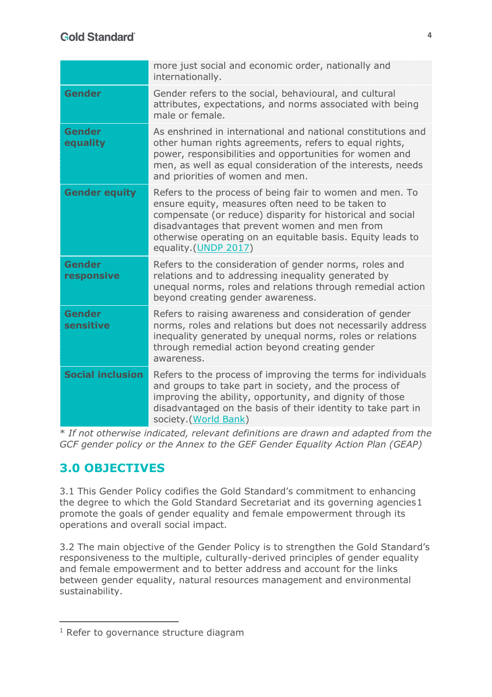|                             | more just social and economic order, nationally and<br>internationally.                                                                                                                                                                                                                                            |
|-----------------------------|--------------------------------------------------------------------------------------------------------------------------------------------------------------------------------------------------------------------------------------------------------------------------------------------------------------------|
| <b>Gender</b>               | Gender refers to the social, behavioural, and cultural<br>attributes, expectations, and norms associated with being<br>male or female.                                                                                                                                                                             |
| <b>Gender</b><br>equality   | As enshrined in international and national constitutions and<br>other human rights agreements, refers to equal rights,<br>power, responsibilities and opportunities for women and<br>men, as well as equal consideration of the interests, needs<br>and priorities of women and men.                               |
| <b>Gender equity</b>        | Refers to the process of being fair to women and men. To<br>ensure equity, measures often need to be taken to<br>compensate (or reduce) disparity for historical and social<br>disadvantages that prevent women and men from<br>otherwise operating on an equitable basis. Equity leads to<br>equality.(UNDP 2017) |
| <b>Gender</b><br>responsive | Refers to the consideration of gender norms, roles and<br>relations and to addressing inequality generated by<br>unequal norms, roles and relations through remedial action<br>beyond creating gender awareness.                                                                                                   |
| <b>Gender</b><br>sensitive  | Refers to raising awareness and consideration of gender<br>norms, roles and relations but does not necessarily address<br>inequality generated by unequal norms, roles or relations<br>through remedial action beyond creating gender<br>awareness.                                                                |
| <b>Social inclusion</b>     | Refers to the process of improving the terms for individuals<br>and groups to take part in society, and the process of<br>improving the ability, opportunity, and dignity of those<br>disadvantaged on the basis of their identity to take part in<br>society.(World Bank)                                         |

\* *If not otherwise indicated, relevant definitions are drawn and adapted from the GCF gender policy or the Annex to the GEF Gender Equality Action Plan (GEAP)*

# <span id="page-3-0"></span>**3.0 OBJECTIVES**

1

3.1 This Gender Policy codifies the Gold Standard's commitment to enhancing the degree to which the Gold Standard Secretariat and its governing agencies1 promote the goals of gender equality and female empowerment through its operations and overall social impact.

3.2 The main objective of the Gender Policy is to strengthen the Gold Standard's responsiveness to the multiple, culturally-derived principles of gender equality and female empowerment and to better address and account for the links between gender equality, natural resources management and environmental sustainability.

<sup>&</sup>lt;sup>1</sup> Refer to governance structure diagram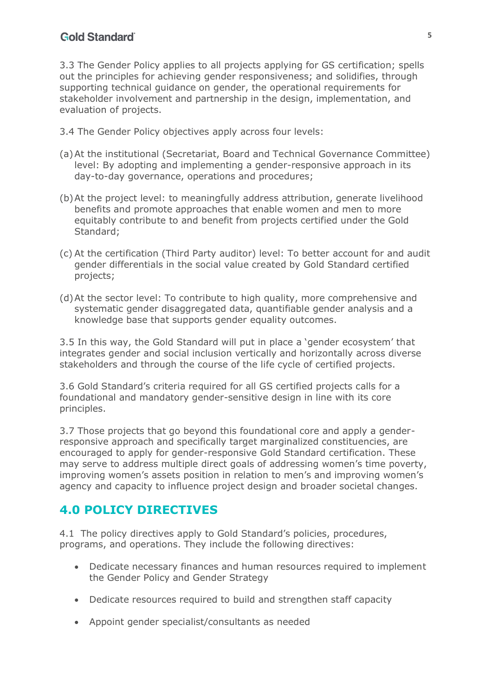#### **Gold Standard**

3.3 The Gender Policy applies to all projects applying for GS certification; spells out the principles for achieving gender responsiveness; and solidifies, through supporting technical guidance on gender, the operational requirements for stakeholder involvement and partnership in the design, implementation, and evaluation of projects.

3.4 The Gender Policy objectives apply across four levels:

- (a)At the institutional (Secretariat, Board and Technical Governance Committee) level: By adopting and implementing a gender-responsive approach in its day-to-day governance, operations and procedures;
- (b)At the project level: to meaningfully address attribution, generate livelihood benefits and promote approaches that enable women and men to more equitably contribute to and benefit from projects certified under the Gold Standard;
- (c) At the certification (Third Party auditor) level: To better account for and audit gender differentials in the social value created by Gold Standard certified projects;
- (d)At the sector level: To contribute to high quality, more comprehensive and systematic gender disaggregated data, quantifiable gender analysis and a knowledge base that supports gender equality outcomes.

3.5 In this way, the Gold Standard will put in place a 'gender ecosystem' that integrates gender and social inclusion vertically and horizontally across diverse stakeholders and through the course of the life cycle of certified projects.

3.6 Gold Standard's criteria required for all GS certified projects calls for a foundational and mandatory gender-sensitive design in line with its core principles.

3.7 Those projects that go beyond this foundational core and apply a genderresponsive approach and specifically target marginalized constituencies, are encouraged to apply for gender-responsive Gold Standard certification. These may serve to address multiple direct goals of addressing women's time poverty, improving women's assets position in relation to men's and improving women's agency and capacity to influence project design and broader societal changes.

## <span id="page-4-0"></span>**4.0 POLICY DIRECTIVES**

4.1 The policy directives apply to Gold Standard's policies, procedures, programs, and operations. They include the following directives:

- Dedicate necessary finances and human resources required to implement the Gender Policy and Gender Strategy
- Dedicate resources required to build and strengthen staff capacity
- Appoint gender specialist/consultants as needed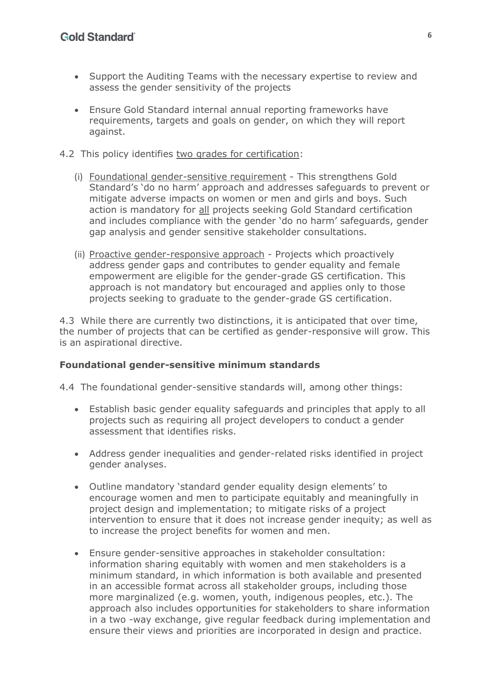- Support the Auditing Teams with the necessary expertise to review and assess the gender sensitivity of the projects
- Ensure Gold Standard internal annual reporting frameworks have requirements, targets and goals on gender, on which they will report against.
- 4.2 This policy identifies two grades for certification:
	- (i) Foundational gender-sensitive requirement This strengthens Gold Standard's 'do no harm' approach and addresses safeguards to prevent or mitigate adverse impacts on women or men and girls and boys. Such action is mandatory for all projects seeking Gold Standard certification and includes compliance with the gender 'do no harm' safeguards, gender gap analysis and gender sensitive stakeholder consultations.
	- (ii) Proactive gender-responsive approach Projects which proactively address gender gaps and contributes to gender equality and female empowerment are eligible for the gender-grade GS certification. This approach is not mandatory but encouraged and applies only to those projects seeking to graduate to the gender-grade GS certification.

4.3 While there are currently two distinctions, it is anticipated that over time, the number of projects that can be certified as gender-responsive will grow. This is an aspirational directive.

#### **Foundational gender-sensitive minimum standards**

4.4 The foundational gender-sensitive standards will, among other things:

- Establish basic gender equality safeguards and principles that apply to all projects such as requiring all project developers to conduct a gender assessment that identifies risks.
- Address gender inequalities and gender-related risks identified in project gender analyses.
- Outline mandatory 'standard gender equality design elements' to encourage women and men to participate equitably and meaningfully in project design and implementation; to mitigate risks of a project intervention to ensure that it does not increase gender inequity; as well as to increase the project benefits for women and men.
- Ensure gender-sensitive approaches in stakeholder consultation: information sharing equitably with women and men stakeholders is a minimum standard, in which information is both available and presented in an accessible format across all stakeholder groups, including those more marginalized (e.g. women, youth, indigenous peoples, etc.). The approach also includes opportunities for stakeholders to share information in a two -way exchange, give regular feedback during implementation and ensure their views and priorities are incorporated in design and practice.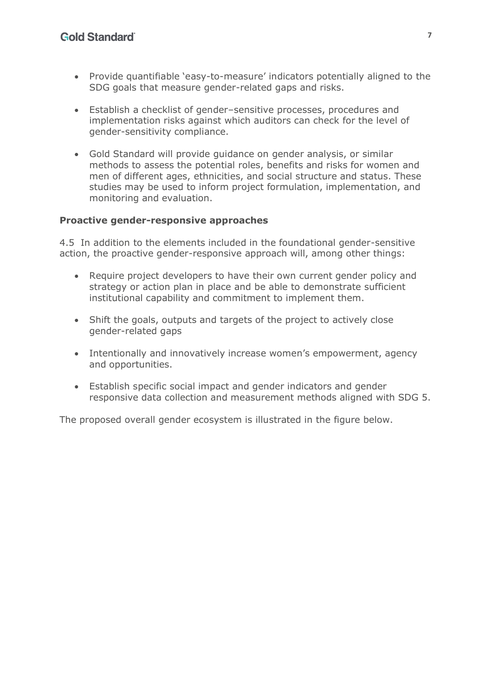- Provide quantifiable 'easy-to-measure' indicators potentially aligned to the SDG goals that measure gender-related gaps and risks.
- Establish a checklist of gender–sensitive processes, procedures and implementation risks against which auditors can check for the level of gender-sensitivity compliance.
- Gold Standard will provide guidance on gender analysis, or similar methods to assess the potential roles, benefits and risks for women and men of different ages, ethnicities, and social structure and status. These studies may be used to inform project formulation, implementation, and monitoring and evaluation.

#### **Proactive gender-responsive approaches**

4.5 In addition to the elements included in the foundational gender-sensitive action, the proactive gender-responsive approach will, among other things:

- Require project developers to have their own current gender policy and strategy or action plan in place and be able to demonstrate sufficient institutional capability and commitment to implement them.
- Shift the goals, outputs and targets of the project to actively close gender-related gaps
- Intentionally and innovatively increase women's empowerment, agency and opportunities.
- Establish specific social impact and gender indicators and gender responsive data collection and measurement methods aligned with SDG 5.

The proposed overall gender ecosystem is illustrated in the figure below.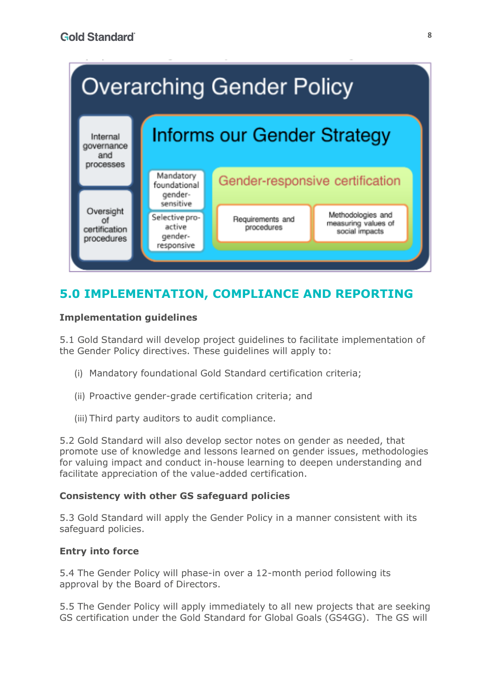

# <span id="page-7-0"></span>**5.0 IMPLEMENTATION, COMPLIANCE AND REPORTING**

## **Implementation guidelines**

5.1 Gold Standard will develop project guidelines to facilitate implementation of the Gender Policy directives. These guidelines will apply to:

- (i) Mandatory foundational Gold Standard certification criteria;
- (ii) Proactive gender-grade certification criteria; and
- (iii) Third party auditors to audit compliance.

5.2 Gold Standard will also develop sector notes on gender as needed, that promote use of knowledge and lessons learned on gender issues, methodologies for valuing impact and conduct in-house learning to deepen understanding and facilitate appreciation of the value-added certification.

## **Consistency with other GS safeguard policies**

5.3 Gold Standard will apply the Gender Policy in a manner consistent with its safeguard policies.

## **Entry into force**

5.4 The Gender Policy will phase-in over a 12-month period following its approval by the Board of Directors.

5.5 The Gender Policy will apply immediately to all new projects that are seeking GS certification under the Gold Standard for Global Goals (GS4GG). The GS will